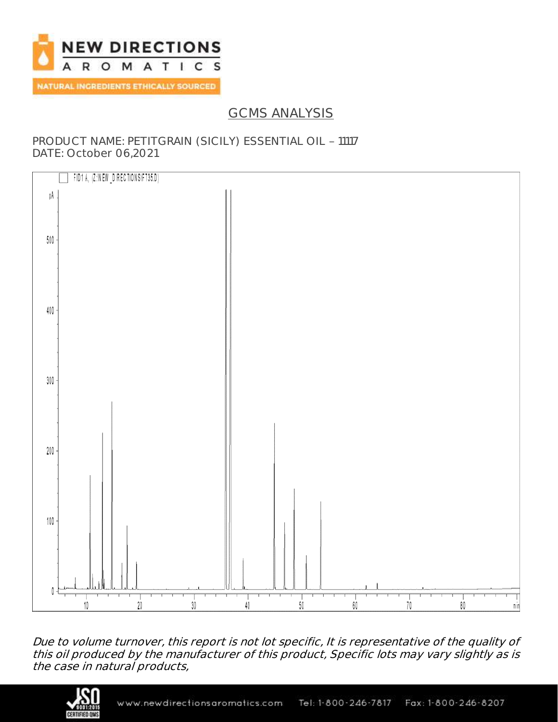

## GCMS ANALYSIS

### PRODUCT NAME: PETITGRAIN (SICILY) ESSENTIAL OIL - 11117 DATE: October 06,2021



Due to volume turnover, this report is not lot specific, It is representative of the quality of this oil produced by the manufacturer of this product, Specific lots may vary slightly as is the case in natural products,

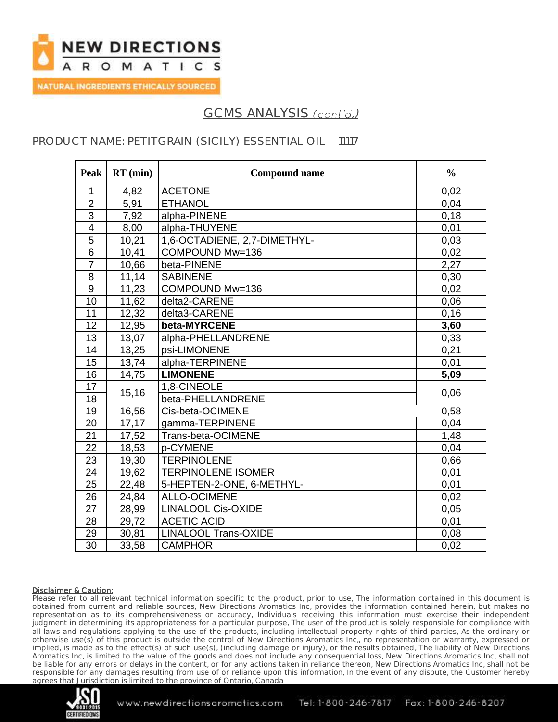

NATURAL INGREDIENTS ETHICALLY SOURCED

# GCMS ANALYSIS (cont'd.)

## PRODUCT NAME: PETITGRAIN (SICILY) ESSENTIAL OIL - 11117

| Peak            | $RT$ (min) | <b>Compound name</b>         | $\frac{0}{0}$ |
|-----------------|------------|------------------------------|---------------|
| 1               | 4,82       | <b>ACETONE</b>               | 0,02          |
| $\overline{2}$  | 5,91       | <b>ETHANOL</b>               | 0,04          |
| $\overline{3}$  | 7,92       | alpha-PINENE                 | 0,18          |
| $\overline{4}$  | 8,00       | alpha-THUYENE                | 0,01          |
| 5               | 10,21      | 1,6-OCTADIENE, 2,7-DIMETHYL- | 0,03          |
| 6               | 10,41      | COMPOUND Mw=136              | 0,02          |
| $\overline{7}$  | 10,66      | beta-PINENE                  | 2,27          |
| 8               | 11,14      | <b>SABINENE</b>              | 0,30          |
| 9               | 11,23      | COMPOUND Mw=136              | 0,02          |
| 10              | 11,62      | delta2-CARENE                | 0,06          |
| 11              | 12,32      | delta3-CARENE                | 0,16          |
| 12              | 12,95      | beta-MYRCENE                 | 3,60          |
| 13              | 13,07      | alpha-PHELLANDRENE           | 0,33          |
| 14              | 13,25      | psi-LIMONENE                 | 0,21          |
| 15              | 13,74      | alpha-TERPINENE              | 0,01          |
| 16              | 14,75      | <b>LIMONENE</b>              | 5,09          |
| 17              |            | 1,8-CINEOLE                  | 0,06          |
| 18              | 15,16      | beta-PHELLANDRENE            |               |
| 19              | 16,56      | Cis-beta-OCIMENE             | 0,58          |
| 20              | 17,17      | gamma-TERPINENE              | 0,04          |
| 21              | 17,52      | Trans-beta-OCIMENE           | 1,48          |
| 22              | 18,53      | p-CYMENE                     | 0,04          |
| 23              | 19,30      | <b>TERPINOLENE</b>           | 0,66          |
| 24              | 19,62      | <b>TERPINOLENE ISOMER</b>    | 0,01          |
| 25              | 22,48      | 5-HEPTEN-2-ONE, 6-METHYL-    | 0,01          |
| 26              | 24,84      | <b>ALLO-OCIMENE</b>          | 0,02          |
| 27              | 28,99      | <b>LINALOOL Cis-OXIDE</b>    | 0,05          |
| 28              | 29,72      | <b>ACETIC ACID</b>           | 0,01          |
| 29              | 30,81      | <b>LINALOOL Trans-OXIDE</b>  | 0,08          |
| $\overline{30}$ | 33,58      | <b>CAMPHOR</b>               | 0,02          |

#### Disclaimer & Caution:

Please refer to all relevant technical information specific to the product, prior to use, The information contained in this document is obtained from current and reliable sources, New Directions Aromatics Inc, provides the information contained herein, but makes no representation as to its comprehensiveness or accuracy, Individuals receiving this information must exercise their independent judgment in determining its appropriateness for a particular purpose, The user of the product is solely responsible for compliance with all laws and regulations applying to the use of the products, including intellectual property rights of third parties, As the ordinary or otherwise use(s) of this product is outside the control of New Directions Aromatics Inc,, no representation or warranty, expressed or implied, is made as to the effect(s) of such use(s), (including damage or injury), or the results obtained, The liability of New Directions Aromatics Inc, is limited to the value of the goods and does not include any consequential loss, New Directions Aromatics Inc, shall not be liable for any errors or delays in the content, or for any actions taken in reliance thereon, New Directions Aromatics Inc, shall not be responsible for any damages resulting from use of or reliance upon this information, In the event of any dispute, the Customer hereby agrees that Jurisdiction is limited to the province of Ontario, Canada